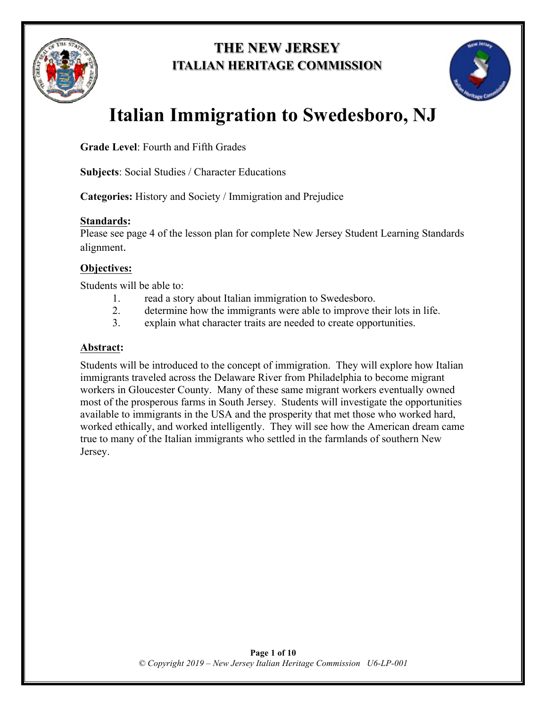

## **THE NEW JERSEY ITALIAN HERITAGE COMMISSION**



# **Italian Immigration to Swedesboro, NJ**

**Grade Level**: Fourth and Fifth Grades

**Subjects**: Social Studies / Character Educations

**Categories:** History and Society / Immigration and Prejudice

#### **Standards:**

Please see page 4 of the lesson plan for complete New Jersey Student Learning Standards alignment.

#### **Objectives:**

Students will be able to:

- 1. read a story about Italian immigration to Swedesboro.
- 2. determine how the immigrants were able to improve their lots in life.
- 3. explain what character traits are needed to create opportunities.

#### **Abstract:**

Students will be introduced to the concept of immigration. They will explore how Italian immigrants traveled across the Delaware River from Philadelphia to become migrant workers in Gloucester County. Many of these same migrant workers eventually owned most of the prosperous farms in South Jersey. Students will investigate the opportunities available to immigrants in the USA and the prosperity that met those who worked hard, worked ethically, and worked intelligently. They will see how the American dream came true to many of the Italian immigrants who settled in the farmlands of southern New Jersey.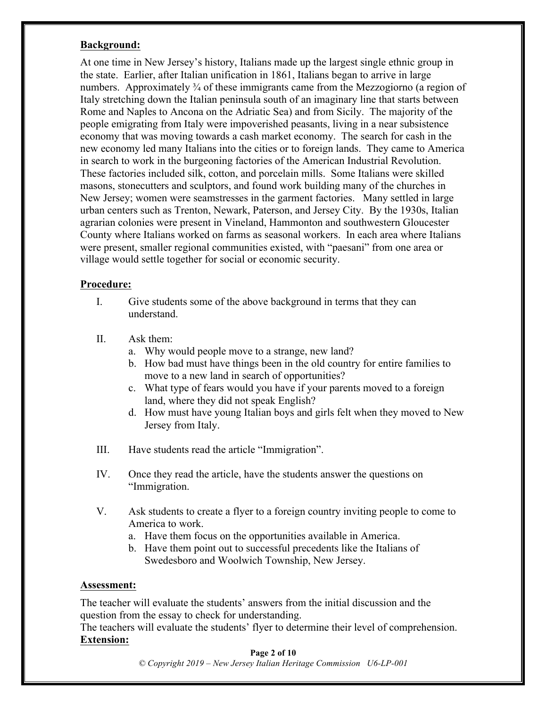#### **Background:**

At one time in New Jersey's history, Italians made up the largest single ethnic group in the state. Earlier, after Italian unification in 1861, Italians began to arrive in large numbers. Approximately <sup>3</sup>/<sub>4</sub> of these immigrants came from the Mezzogiorno (a region of Italy stretching down the Italian peninsula south of an imaginary line that starts between Rome and Naples to Ancona on the Adriatic Sea) and from Sicily. The majority of the people emigrating from Italy were impoverished peasants, living in a near subsistence economy that was moving towards a cash market economy. The search for cash in the new economy led many Italians into the cities or to foreign lands. They came to America in search to work in the burgeoning factories of the American Industrial Revolution. These factories included silk, cotton, and porcelain mills. Some Italians were skilled masons, stonecutters and sculptors, and found work building many of the churches in New Jersey; women were seamstresses in the garment factories. Many settled in large urban centers such as Trenton, Newark, Paterson, and Jersey City. By the 1930s, Italian agrarian colonies were present in Vineland, Hammonton and southwestern Gloucester County where Italians worked on farms as seasonal workers. In each area where Italians were present, smaller regional communities existed, with "paesani" from one area or village would settle together for social or economic security.

#### **Procedure:**

- I. Give students some of the above background in terms that they can understand.
- II. Ask them:
	- a. Why would people move to a strange, new land?
	- b. How bad must have things been in the old country for entire families to move to a new land in search of opportunities?
	- c. What type of fears would you have if your parents moved to a foreign land, where they did not speak English?
	- d. How must have young Italian boys and girls felt when they moved to New Jersey from Italy.
- III. Have students read the article "Immigration".
- IV. Once they read the article, have the students answer the questions on "Immigration.
- V. Ask students to create a flyer to a foreign country inviting people to come to America to work.
	- a. Have them focus on the opportunities available in America.
	- b. Have them point out to successful precedents like the Italians of Swedesboro and Woolwich Township, New Jersey.

#### **Assessment:**

The teacher will evaluate the students' answers from the initial discussion and the question from the essay to check for understanding.

The teachers will evaluate the students' flyer to determine their level of comprehension. **Extension:**

#### **Page 2 of 10**

*© Copyright 2019 – New Jersey Italian Heritage Commission U6-LP-001*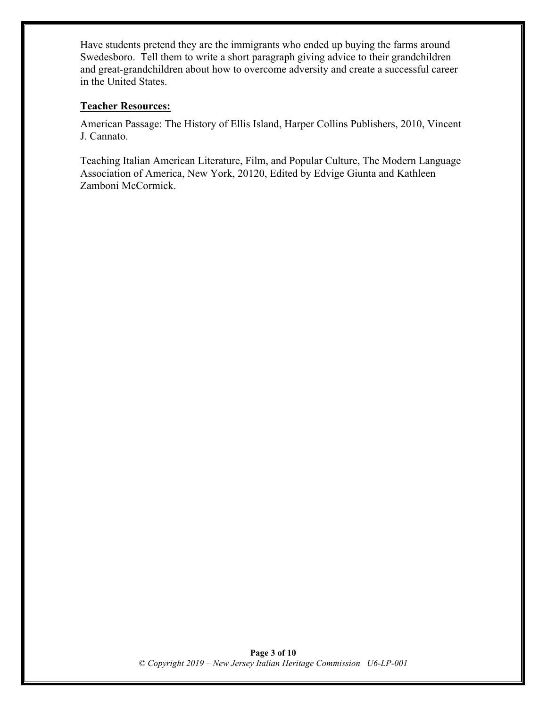Have students pretend they are the immigrants who ended up buying the farms around Swedesboro. Tell them to write a short paragraph giving advice to their grandchildren and great-grandchildren about how to overcome adversity and create a successful career in the United States.

#### **Teacher Resources:**

American Passage: The History of Ellis Island, Harper Collins Publishers, 2010, Vincent J. Cannato.

Teaching Italian American Literature, Film, and Popular Culture, The Modern Language Association of America, New York, 20120, Edited by Edvige Giunta and Kathleen Zamboni McCormick.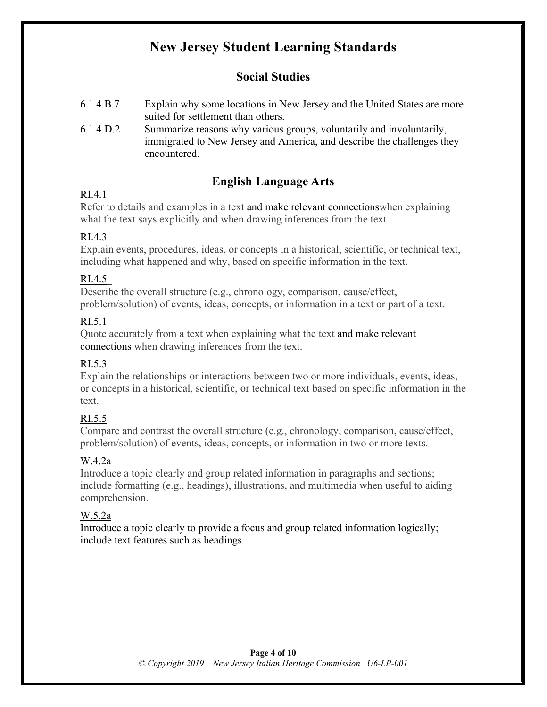## **New Jersey Student Learning Standards**

#### **Social Studies**

- 6.1.4.B.7 Explain why some locations in New Jersey and the United States are more suited for settlement than others.
- 6.1.4.D.2 Summarize reasons why various groups, voluntarily and involuntarily, immigrated to New Jersey and America, and describe the challenges they encountered.

### **English Language Arts**

#### RI.4.1

Refer to details and examples in a text and make relevant connectionswhen explaining what the text says explicitly and when drawing inferences from the text.

#### RI.4.3

Explain events, procedures, ideas, or concepts in a historical, scientific, or technical text, including what happened and why, based on specific information in the text.

#### RI.4.5

Describe the overall structure (e.g., chronology, comparison, cause/effect, problem/solution) of events, ideas, concepts, or information in a text or part of a text.

#### RI.5.1

Quote accurately from a text when explaining what the text and make relevant connections when drawing inferences from the text.

#### RI.5.3

Explain the relationships or interactions between two or more individuals, events, ideas, or concepts in a historical, scientific, or technical text based on specific information in the text.

#### RI.5.5

Compare and contrast the overall structure (e.g., chronology, comparison, cause/effect, problem/solution) of events, ideas, concepts, or information in two or more texts.

#### W.4.2a

Introduce a topic clearly and group related information in paragraphs and sections; include formatting (e.g., headings), illustrations, and multimedia when useful to aiding comprehension.

#### W.5.2a

Introduce a topic clearly to provide a focus and group related information logically; include text features such as headings.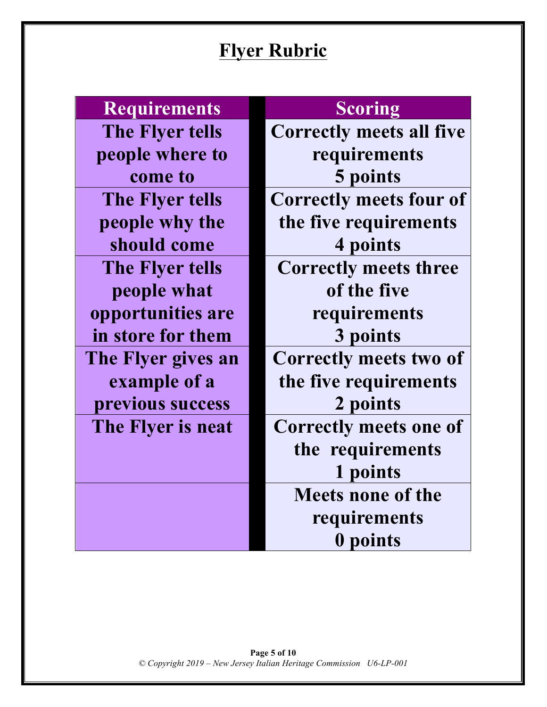# **Flyer Rubric**

**Requirements Scoring The Flyer tells people where to come to The Flyer tells people why the should come The Flyer tells people what opportunities are in store for them The Flyer gives an example of a previous success**

**Correctly meets all five requirements 5 points Correctly meets four of the five requirements 4 points Correctly meets three of the five requirements 3 points Correctly meets two of the five requirements 2 points The Flyer is neat Correctly meets one of the requirements 1 points Meets none of the requirements 0 points**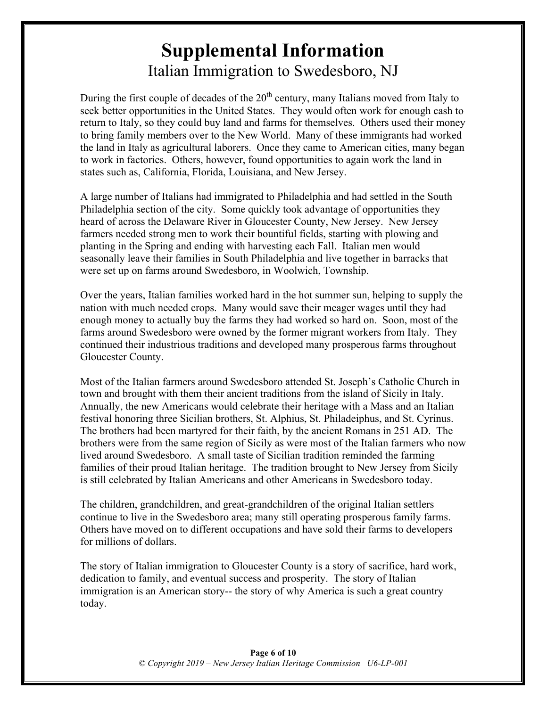## **Supplemental Information** Italian Immigration to Swedesboro, NJ

During the first couple of decades of the  $20<sup>th</sup>$  century, many Italians moved from Italy to seek better opportunities in the United States. They would often work for enough cash to return to Italy, so they could buy land and farms for themselves. Others used their money to bring family members over to the New World. Many of these immigrants had worked the land in Italy as agricultural laborers. Once they came to American cities, many began to work in factories. Others, however, found opportunities to again work the land in states such as, California, Florida, Louisiana, and New Jersey.

A large number of Italians had immigrated to Philadelphia and had settled in the South Philadelphia section of the city. Some quickly took advantage of opportunities they heard of across the Delaware River in Gloucester County, New Jersey. New Jersey farmers needed strong men to work their bountiful fields, starting with plowing and planting in the Spring and ending with harvesting each Fall. Italian men would seasonally leave their families in South Philadelphia and live together in barracks that were set up on farms around Swedesboro, in Woolwich, Township.

Over the years, Italian families worked hard in the hot summer sun, helping to supply the nation with much needed crops. Many would save their meager wages until they had enough money to actually buy the farms they had worked so hard on. Soon, most of the farms around Swedesboro were owned by the former migrant workers from Italy. They continued their industrious traditions and developed many prosperous farms throughout Gloucester County.

Most of the Italian farmers around Swedesboro attended St. Joseph's Catholic Church in town and brought with them their ancient traditions from the island of Sicily in Italy. Annually, the new Americans would celebrate their heritage with a Mass and an Italian festival honoring three Sicilian brothers, St. Alphius, St. Philadeiphus, and St. Cyrinus. The brothers had been martyred for their faith, by the ancient Romans in 251 AD. The brothers were from the same region of Sicily as were most of the Italian farmers who now lived around Swedesboro. A small taste of Sicilian tradition reminded the farming families of their proud Italian heritage. The tradition brought to New Jersey from Sicily is still celebrated by Italian Americans and other Americans in Swedesboro today.

The children, grandchildren, and great-grandchildren of the original Italian settlers continue to live in the Swedesboro area; many still operating prosperous family farms. Others have moved on to different occupations and have sold their farms to developers for millions of dollars.

The story of Italian immigration to Gloucester County is a story of sacrifice, hard work, dedication to family, and eventual success and prosperity. The story of Italian immigration is an American story-- the story of why America is such a great country today.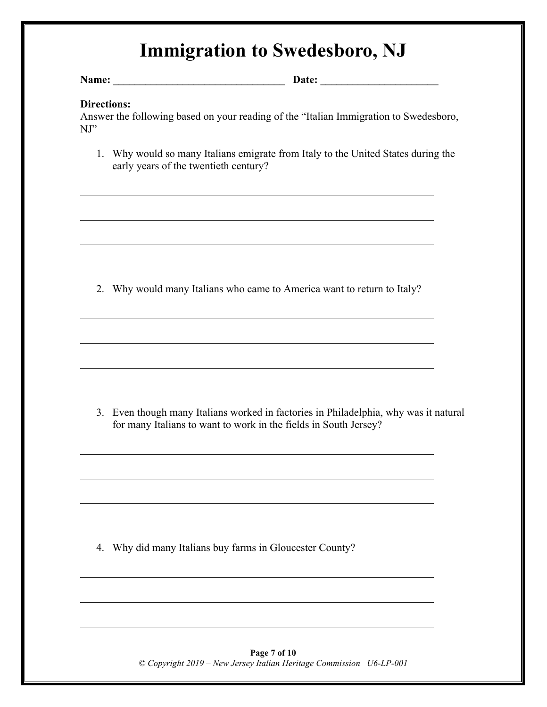## **Immigration to Swedesboro, NJ**

Name: **Date: Date:** 

#### **Directions:**

Answer the following based on your reading of the "Italian Immigration to Swedesboro, NJ"

1. Why would so many Italians emigrate from Italy to the United States during the early years of the twentieth century?

2. Why would many Italians who came to America want to return to Italy?

3. Even though many Italians worked in factories in Philadelphia, why was it natural for many Italians to want to work in the fields in South Jersey?

4. Why did many Italians buy farms in Gloucester County?

**Page 7 of 10** *© Copyright 2019 – New Jersey Italian Heritage Commission U6-LP-001*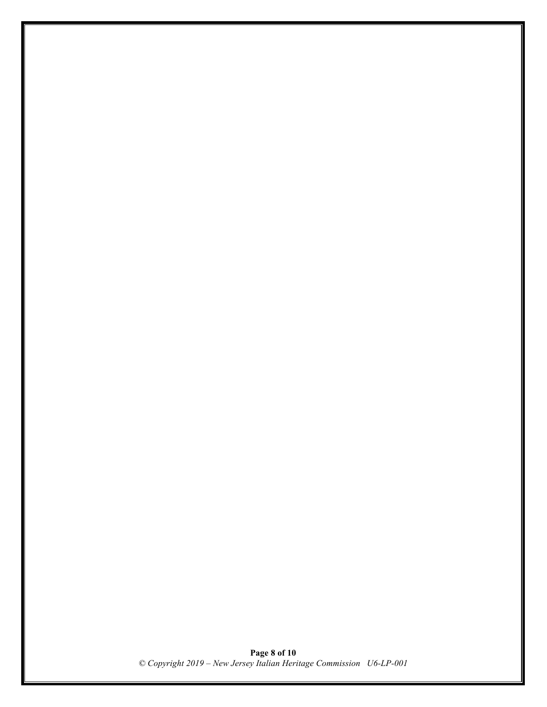**Page 8 of 10** *© Copyright 2019 – New Jersey Italian Heritage Commission U6-LP-001*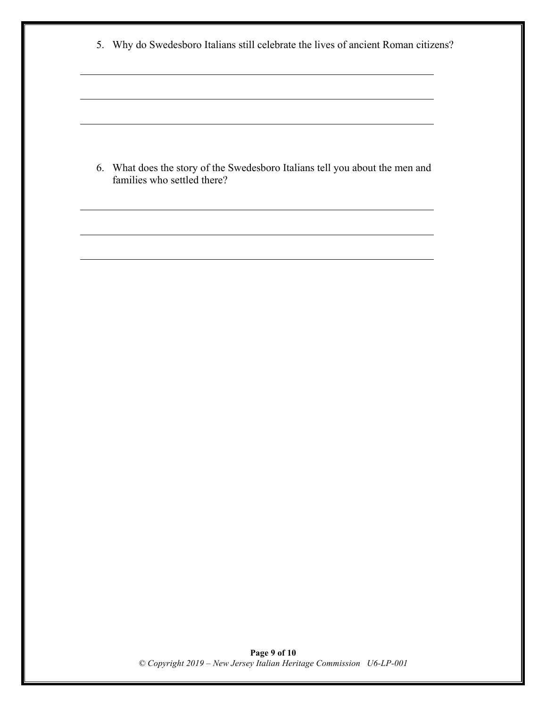| 5. Why do Swedesboro Italians still celebrate the lives of ancient Roman citizens? |  |  |  |
|------------------------------------------------------------------------------------|--|--|--|
|                                                                                    |  |  |  |

6. What does the story of the Swedesboro Italians tell you about the men and families who settled there?